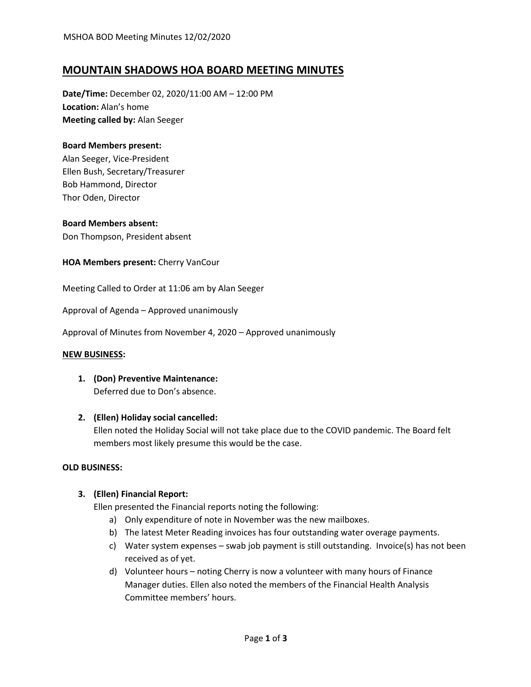# **MOUNTAIN SHADOWS HOA BOARD MEETING MINUTES**

**Date/Time:** December 02, 2020/11:00 AM – 12:00 PM **Location:** Alan's home **Meeting called by:** Alan Seeger

### **Board Members present:**

Alan Seeger, Vice-President Ellen Bush, Secretary/Treasurer Bob Hammond, Director Thor Oden, Director

**Board Members absent:**

Don Thompson, President absent

**HOA Members present:** Cherry VanCour

Meeting Called to Order at 11:06 am by Alan Seeger

Approval of Agenda – Approved unanimously

Approval of Minutes from November 4, 2020 – Approved unanimously

#### **NEW BUSINESS:**

**1. (Don) Preventive Maintenance:** Deferred due to Don's absence.

### **2. (Ellen) Holiday social cancelled:**

Ellen noted the Holiday Social will not take place due to the COVID pandemic. The Board felt members most likely presume this would be the case.

#### **OLD BUSINESS:**

### **3. (Ellen) Financial Report:**

Ellen presented the Financial reports noting the following:

- a) Only expenditure of note in November was the new mailboxes.
- b) The latest Meter Reading invoices has four outstanding water overage payments.
- c) Water system expenses swab job payment is still outstanding. Invoice(s) has not been received as of yet.
- d) Volunteer hours noting Cherry is now a volunteer with many hours of Finance Manager duties. Ellen also noted the members of the Financial Health Analysis Committee members' hours.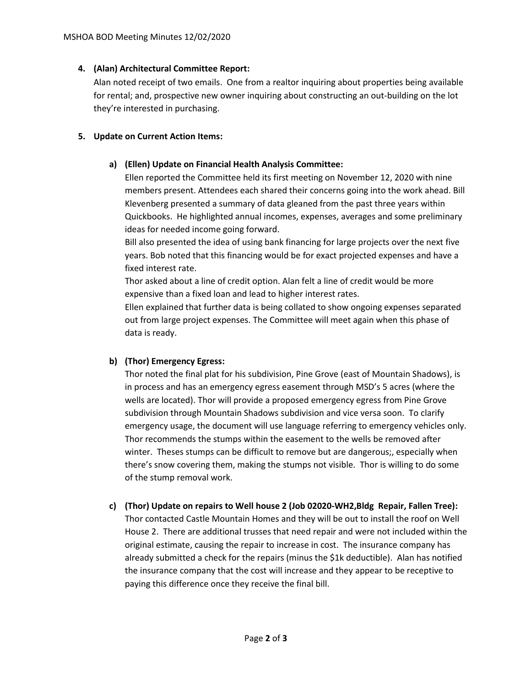### **4. (Alan) Architectural Committee Report:**

Alan noted receipt of two emails. One from a realtor inquiring about properties being available for rental; and, prospective new owner inquiring about constructing an out-building on the lot they're interested in purchasing.

## **5. Update on Current Action Items:**

## **a) (Ellen) Update on Financial Health Analysis Committee:**

Ellen reported the Committee held its first meeting on November 12, 2020 with nine members present. Attendees each shared their concerns going into the work ahead. Bill Klevenberg presented a summary of data gleaned from the past three years within Quickbooks. He highlighted annual incomes, expenses, averages and some preliminary ideas for needed income going forward.

Bill also presented the idea of using bank financing for large projects over the next five years. Bob noted that this financing would be for exact projected expenses and have a fixed interest rate.

Thor asked about a line of credit option. Alan felt a line of credit would be more expensive than a fixed loan and lead to higher interest rates.

Ellen explained that further data is being collated to show ongoing expenses separated out from large project expenses. The Committee will meet again when this phase of data is ready.

### **b) (Thor) Emergency Egress:**

Thor noted the final plat for his subdivision, Pine Grove (east of Mountain Shadows), is in process and has an emergency egress easement through MSD's 5 acres (where the wells are located). Thor will provide a proposed emergency egress from Pine Grove subdivision through Mountain Shadows subdivision and vice versa soon. To clarify emergency usage, the document will use language referring to emergency vehicles only. Thor recommends the stumps within the easement to the wells be removed after winter. Theses stumps can be difficult to remove but are dangerous;, especially when there's snow covering them, making the stumps not visible. Thor is willing to do some of the stump removal work.

**c) (Thor) Update on repairs to Well house 2 (Job 02020-WH2,Bldg Repair, Fallen Tree):**

Thor contacted Castle Mountain Homes and they will be out to install the roof on Well House 2. There are additional trusses that need repair and were not included within the original estimate, causing the repair to increase in cost. The insurance company has already submitted a check for the repairs (minus the \$1k deductible). Alan has notified the insurance company that the cost will increase and they appear to be receptive to paying this difference once they receive the final bill.